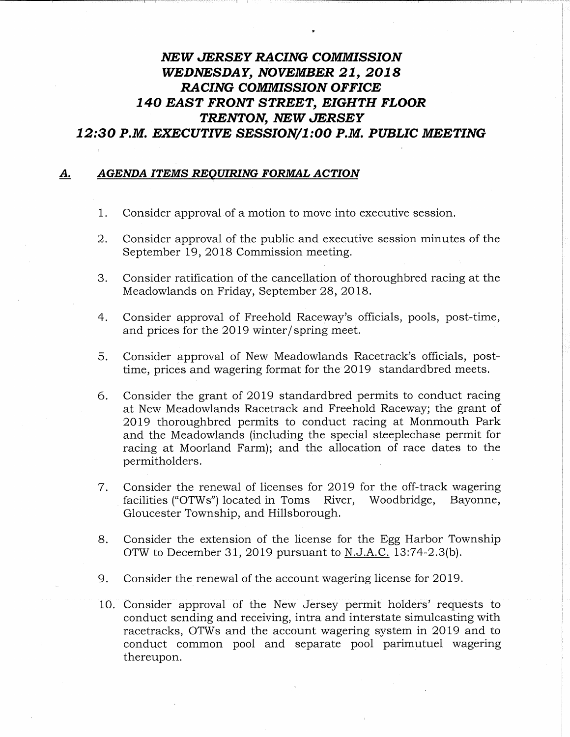## NEW JERSEY RACING COMMISSION WEDNESDAY, NOVEMBER 21, 2018 RACING COMMISSION OFFICE 140 EAST FRONT STREET, EIGHTH FLOOR TRENTON, NEW JERSEY 12:30 P.M. EXECUTIVE SESSION/1:00 P.M. PUBLIC MEETING

## A. AGENDA ITEMS REQUIRING FORMAL ACTION

- 1. Consider approval of a motion to move into executive session.
- 2. Consider approval of the public and executive session minutes of the September 19, 2018 Commission meeting.
- 3. Consider ratification of the cancellation of thoroughbred racing at the Meadowlands on Friday, September 28, 2018.
- 4. Consider approval of Freehold Raceway's officials, pools, post-time, and prices for the 2019 winter/ spring meet.
- 5. Consider approval of New Meadowlands Racetrack's officials, posttime, prices and wagering format for the 2019 standardbred meets.
- 6. Consider the grant of 2019 standardbred permits to conduct racing at New Meadowlands Racetrack and Freehold Raceway; the grant of 2019 thoroughbred permits to conduct racing at Monmouth Park and the Meadowlands (including the special steeplechase permit for racing at Moorland Farm); and the allocation of race dates to the permitholders.
- 7. Consider the renewal of licenses for 2019 for the off-track wagering facilities ("OTWs") located in Toms River, Woodbridge, Bayonne, Gloucester Township, and Hillsborough.
- 8. Consider the extension of the license for the Egg Harbor Township OTW to December 31, 2019 pursuant to N.J.A.C. 13:74-2.3(b).
- 9. Consider the renewal of the account wagering license for 2019.
- 10. Consider approval of the New Jersey permit holders' requests to conduct sending and receiving, intra and interstate simulcasting with racetracks, OTWs and the account wagering system in 2019 and to conduct common pool and separate pool parimutuel wagering thereupon.